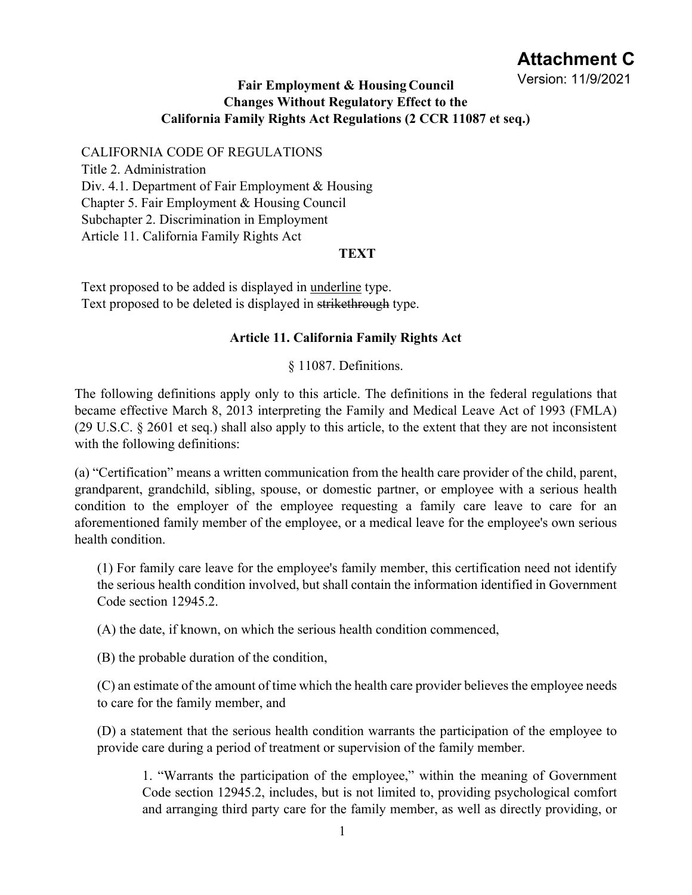# **Attachment C**

## **Changes Without Regulatory Effect to the California Family Rights Act Regulations (2 CCR 11087 et seq.) Fair Employment & Housing Council** Version: 11/9/2021

CALIFORNIA CODE OF REGULATIONS Title 2. Administration Div. 4.1. Department of Fair Employment & Housing Chapter 5. Fair Employment & Housing Council Subchapter 2. Discrimination in Employment Article 11. California Family Rights Act

#### **TEXT**

Text proposed to be added is displayed in underline type. Text proposed to be deleted is displayed in strikethrough type.

#### **Article 11. California Family Rights Act**

§ 11087. Definitions.

The following definitions apply only to this article. The definitions in the federal regulations that became effective March 8, 2013 interpreting the Family and Medical Leave Act of 1993 (FMLA) (29 U.S.C. § 2601 et seq.) shall also apply to this article, to the extent that they are not inconsistent with the following definitions:

(a) "Certification" means a written communication from the health care provider of the child, parent, grandparent, grandchild, sibling, spouse, or domestic partner, or employee with a serious health condition to the employer of the employee requesting a family care leave to care for an aforementioned family member of the employee, or a medical leave for the employee's own serious health condition.

(1) For family care leave for the employee's family member, this certification need not identify the serious health condition involved, but shall contain the information identified in Government Code section 12945.2.

(A) the date, if known, on which the serious health condition commenced,

(B) the probable duration of the condition,

(C) an estimate of the amount of time which the health care provider believes the employee needs to care for the family member, and

(D) a statement that the serious health condition warrants the participation of the employee to provide care during a period of treatment or supervision of the family member.

1. "Warrants the participation of the employee," within the meaning of Government Code section 12945.2, includes, but is not limited to, providing psychological comfort and arranging third party care for the family member, as well as directly providing, or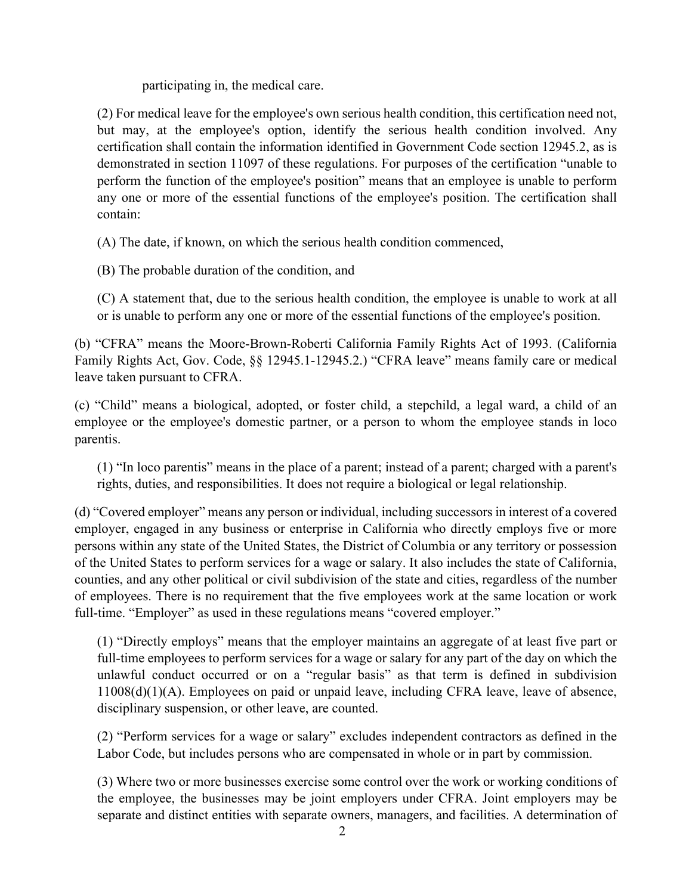participating in, the medical care.

(2) For medical leave for the employee's own serious health condition, this certification need not, but may, at the employee's option, identify the serious health condition involved. Any certification shall contain the information identified in Government Code section 12945.2, as is demonstrated in section 11097 of these regulations. For purposes of the certification "unable to perform the function of the employee's position" means that an employee is unable to perform any one or more of the essential functions of the employee's position. The certification shall contain:

(A) The date, if known, on which the serious health condition commenced,

(B) The probable duration of the condition, and

(C) A statement that, due to the serious health condition, the employee is unable to work at all or is unable to perform any one or more of the essential functions of the employee's position.

(b) "CFRA" means the Moore-Brown-Roberti California Family Rights Act of 1993. (California Family Rights Act, Gov. Code, §§ 12945.1-12945.2.) "CFRA leave" means family care or medical leave taken pursuant to CFRA.

(c) "Child" means a biological, adopted, or foster child, a stepchild, a legal ward, a child of an employee or the employee's domestic partner, or a person to whom the employee stands in loco parentis.

(1) "In loco parentis" means in the place of a parent; instead of a parent; charged with a parent's rights, duties, and responsibilities. It does not require a biological or legal relationship.

(d) "Covered employer" means any person or individual, including successors in interest of a covered employer, engaged in any business or enterprise in California who directly employs five or more persons within any state of the United States, the District of Columbia or any territory or possession of the United States to perform services for a wage or salary. It also includes the state of California, counties, and any other political or civil subdivision of the state and cities, regardless of the number of employees. There is no requirement that the five employees work at the same location or work full-time. "Employer" as used in these regulations means "covered employer."

(1) "Directly employs" means that the employer maintains an aggregate of at least five part or full-time employees to perform services for a wage or salary for any part of the day on which the unlawful conduct occurred or on a "regular basis" as that term is defined in subdivision 11008(d)(1)(A). Employees on paid or unpaid leave, including CFRA leave, leave of absence, disciplinary suspension, or other leave, are counted.

(2) "Perform services for a wage or salary" excludes independent contractors as defined in the Labor Code, but includes persons who are compensated in whole or in part by commission.

(3) Where two or more businesses exercise some control over the work or working conditions of the employee, the businesses may be joint employers under CFRA. Joint employers may be separate and distinct entities with separate owners, managers, and facilities. A determination of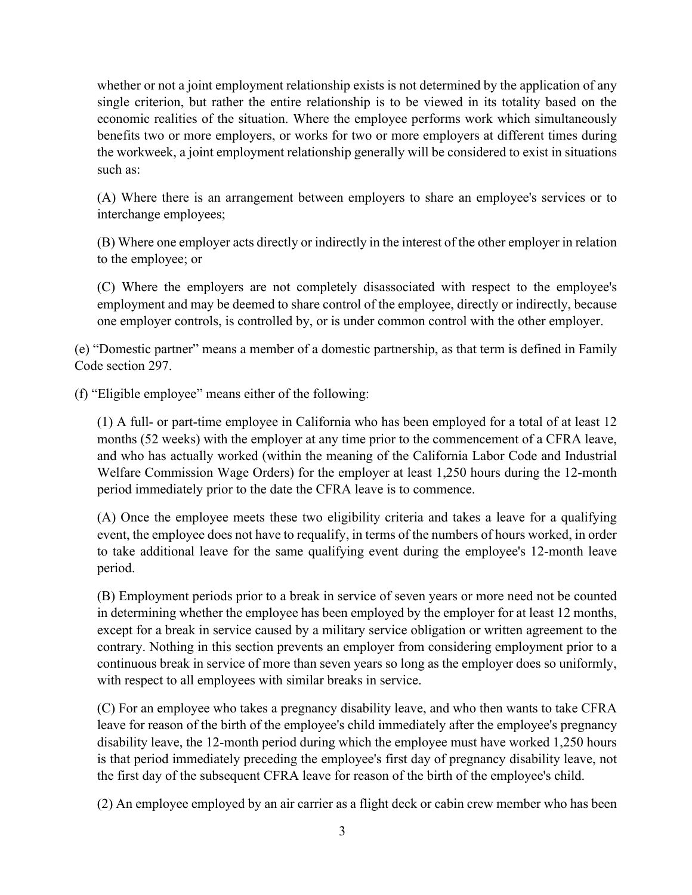whether or not a joint employment relationship exists is not determined by the application of any single criterion, but rather the entire relationship is to be viewed in its totality based on the economic realities of the situation. Where the employee performs work which simultaneously benefits two or more employers, or works for two or more employers at different times during the workweek, a joint employment relationship generally will be considered to exist in situations such as:

(A) Where there is an arrangement between employers to share an employee's services or to interchange employees;

(B) Where one employer acts directly or indirectly in the interest of the other employer in relation to the employee; or

(C) Where the employers are not completely disassociated with respect to the employee's employment and may be deemed to share control of the employee, directly or indirectly, because one employer controls, is controlled by, or is under common control with the other employer.

(e) "Domestic partner" means a member of a domestic partnership, as that term is defined in Family Code section 297.

(f) "Eligible employee" means either of the following:

(1) A full- or part-time employee in California who has been employed for a total of at least 12 months (52 weeks) with the employer at any time prior to the commencement of a CFRA leave, and who has actually worked (within the meaning of the California Labor Code and Industrial Welfare Commission Wage Orders) for the employer at least 1,250 hours during the 12-month period immediately prior to the date the CFRA leave is to commence.

(A) Once the employee meets these two eligibility criteria and takes a leave for a qualifying event, the employee does not have to requalify, in terms of the numbers of hours worked, in order to take additional leave for the same qualifying event during the employee's 12-month leave period.

(B) Employment periods prior to a break in service of seven years or more need not be counted in determining whether the employee has been employed by the employer for at least 12 months, except for a break in service caused by a military service obligation or written agreement to the contrary. Nothing in this section prevents an employer from considering employment prior to a continuous break in service of more than seven years so long as the employer does so uniformly, with respect to all employees with similar breaks in service.

(C) For an employee who takes a pregnancy disability leave, and who then wants to take CFRA leave for reason of the birth of the employee's child immediately after the employee's pregnancy disability leave, the 12-month period during which the employee must have worked 1,250 hours is that period immediately preceding the employee's first day of pregnancy disability leave, not the first day of the subsequent CFRA leave for reason of the birth of the employee's child.

(2) An employee employed by an air carrier as a flight deck or cabin crew member who has been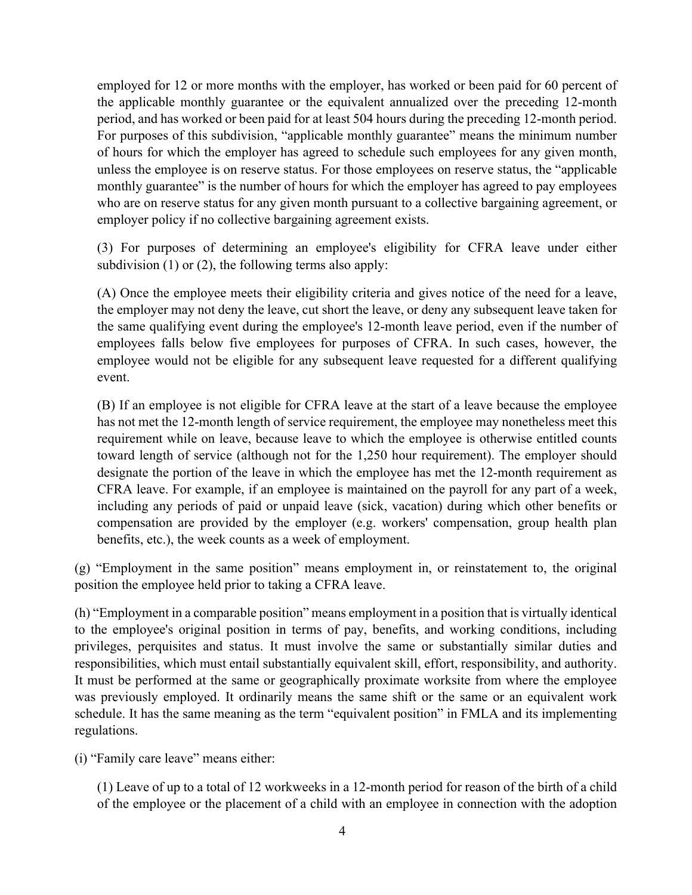employed for 12 or more months with the employer, has worked or been paid for 60 percent of the applicable monthly guarantee or the equivalent annualized over the preceding 12-month period, and has worked or been paid for at least 504 hours during the preceding 12-month period. For purposes of this subdivision, "applicable monthly guarantee" means the minimum number of hours for which the employer has agreed to schedule such employees for any given month, unless the employee is on reserve status. For those employees on reserve status, the "applicable monthly guarantee" is the number of hours for which the employer has agreed to pay employees who are on reserve status for any given month pursuant to a collective bargaining agreement, or employer policy if no collective bargaining agreement exists.

(3) For purposes of determining an employee's eligibility for CFRA leave under either subdivision (1) or (2), the following terms also apply:

(A) Once the employee meets their eligibility criteria and gives notice of the need for a leave, the employer may not deny the leave, cut short the leave, or deny any subsequent leave taken for the same qualifying event during the employee's 12-month leave period, even if the number of employees falls below five employees for purposes of CFRA. In such cases, however, the employee would not be eligible for any subsequent leave requested for a different qualifying event.

(B) If an employee is not eligible for CFRA leave at the start of a leave because the employee has not met the 12-month length of service requirement, the employee may nonetheless meet this requirement while on leave, because leave to which the employee is otherwise entitled counts toward length of service (although not for the 1,250 hour requirement). The employer should designate the portion of the leave in which the employee has met the 12-month requirement as CFRA leave. For example, if an employee is maintained on the payroll for any part of a week, including any periods of paid or unpaid leave (sick, vacation) during which other benefits or compensation are provided by the employer (e.g. workers' compensation, group health plan benefits, etc.), the week counts as a week of employment.

(g) "Employment in the same position" means employment in, or reinstatement to, the original position the employee held prior to taking a CFRA leave.

(h) "Employment in a comparable position" means employment in a position that is virtually identical to the employee's original position in terms of pay, benefits, and working conditions, including privileges, perquisites and status. It must involve the same or substantially similar duties and responsibilities, which must entail substantially equivalent skill, effort, responsibility, and authority. It must be performed at the same or geographically proximate worksite from where the employee was previously employed. It ordinarily means the same shift or the same or an equivalent work schedule. It has the same meaning as the term "equivalent position" in FMLA and its implementing regulations.

(i) "Family care leave" means either:

(1) Leave of up to a total of 12 workweeks in a 12-month period for reason of the birth of a child of the employee or the placement of a child with an employee in connection with the adoption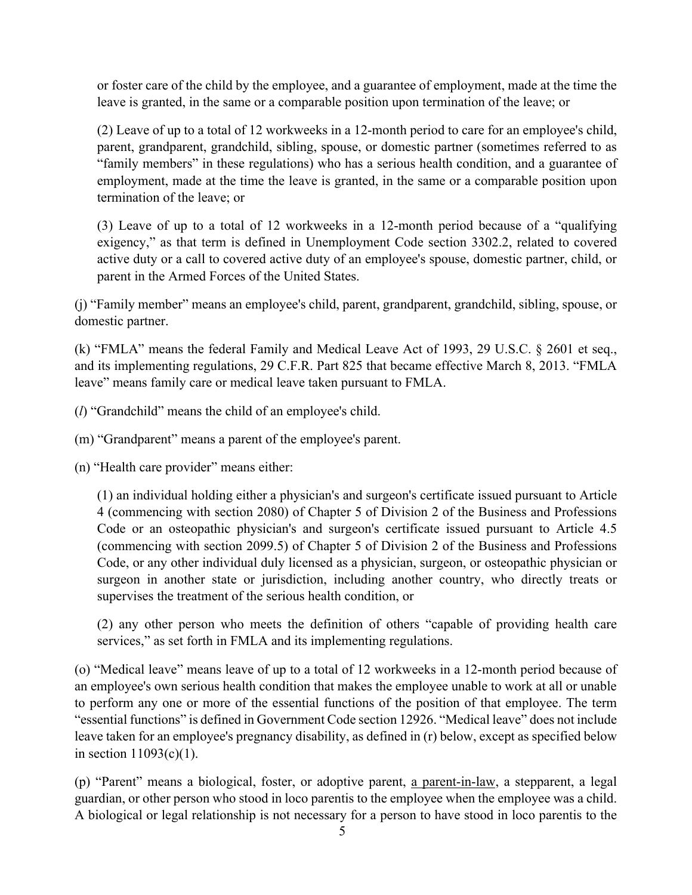or foster care of the child by the employee, and a guarantee of employment, made at the time the leave is granted, in the same or a comparable position upon termination of the leave; or

(2) Leave of up to a total of 12 workweeks in a 12-month period to care for an employee's child, parent, grandparent, grandchild, sibling, spouse, or domestic partner (sometimes referred to as "family members" in these regulations) who has a serious health condition, and a guarantee of employment, made at the time the leave is granted, in the same or a comparable position upon termination of the leave; or

(3) Leave of up to a total of 12 workweeks in a 12-month period because of a "qualifying exigency," as that term is defined in Unemployment Code section 3302.2, related to covered active duty or a call to covered active duty of an employee's spouse, domestic partner, child, or parent in the Armed Forces of the United States.

(j) "Family member" means an employee's child, parent, grandparent, grandchild, sibling, spouse, or domestic partner.

(k) "FMLA" means the federal Family and Medical Leave Act of 1993, 29 U.S.C. § 2601 et seq., and its implementing regulations, 29 C.F.R. Part 825 that became effective March 8, 2013. "FMLA leave" means family care or medical leave taken pursuant to FMLA.

(*l*) "Grandchild" means the child of an employee's child.

(m) "Grandparent" means a parent of the employee's parent.

(n) "Health care provider" means either:

(1) an individual holding either a physician's and surgeon's certificate issued pursuant to Article 4 (commencing with section 2080) of Chapter 5 of Division 2 of the Business and Professions Code or an osteopathic physician's and surgeon's certificate issued pursuant to Article 4.5 (commencing with section 2099.5) of Chapter 5 of Division 2 of the Business and Professions Code, or any other individual duly licensed as a physician, surgeon, or osteopathic physician or surgeon in another state or jurisdiction, including another country, who directly treats or supervises the treatment of the serious health condition, or

(2) any other person who meets the definition of others "capable of providing health care services," as set forth in FMLA and its implementing regulations.

(o) "Medical leave" means leave of up to a total of 12 workweeks in a 12-month period because of an employee's own serious health condition that makes the employee unable to work at all or unable to perform any one or more of the essential functions of the position of that employee. The term "essential functions" is defined in Government Code section 12926. "Medical leave" does not include leave taken for an employee's pregnancy disability, as defined in (r) below, except as specified below in section  $11093(c)(1)$ .

(p) "Parent" means a biological, foster, or adoptive parent, a parent-in-law, a stepparent, a legal guardian, or other person who stood in loco parentis to the employee when the employee was a child. A biological or legal relationship is not necessary for a person to have stood in loco parentis to the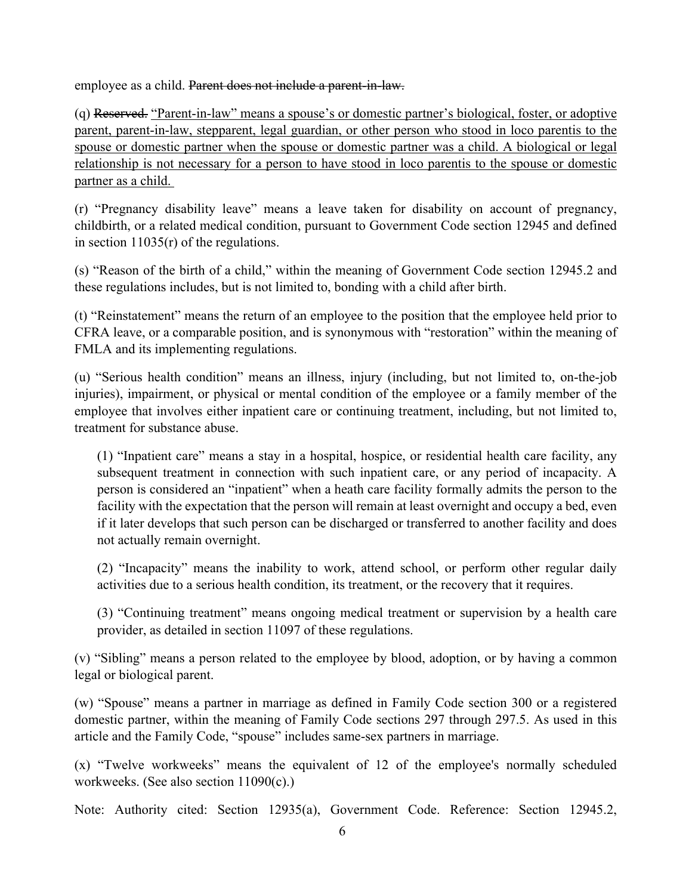employee as a child. Parent does not include a parent-in-law.

(q) Reserved. "Parent-in-law" means a spouse's or domestic partner's biological, foster, or adoptive parent, parent-in-law, stepparent, legal guardian, or other person who stood in loco parentis to the spouse or domestic partner when the spouse or domestic partner was a child. A biological or legal relationship is not necessary for a person to have stood in loco parentis to the spouse or domestic partner as a child.

(r) "Pregnancy disability leave" means a leave taken for disability on account of pregnancy, childbirth, or a related medical condition, pursuant to Government Code section 12945 and defined in section 11035(r) of the regulations.

(s) "Reason of the birth of a child," within the meaning of Government Code section 12945.2 and these regulations includes, but is not limited to, bonding with a child after birth.

(t) "Reinstatement" means the return of an employee to the position that the employee held prior to CFRA leave, or a comparable position, and is synonymous with "restoration" within the meaning of FMLA and its implementing regulations.

(u) "Serious health condition" means an illness, injury (including, but not limited to, on-the-job injuries), impairment, or physical or mental condition of the employee or a family member of the employee that involves either inpatient care or continuing treatment, including, but not limited to, treatment for substance abuse.

(1) "Inpatient care" means a stay in a hospital, hospice, or residential health care facility, any subsequent treatment in connection with such inpatient care, or any period of incapacity. A person is considered an "inpatient" when a heath care facility formally admits the person to the facility with the expectation that the person will remain at least overnight and occupy a bed, even if it later develops that such person can be discharged or transferred to another facility and does not actually remain overnight.

(2) "Incapacity" means the inability to work, attend school, or perform other regular daily activities due to a serious health condition, its treatment, or the recovery that it requires.

(3) "Continuing treatment" means ongoing medical treatment or supervision by a health care provider, as detailed in section 11097 of these regulations.

(v) "Sibling" means a person related to the employee by blood, adoption, or by having a common legal or biological parent.

(w) "Spouse" means a partner in marriage as defined in Family Code section 300 or a registered domestic partner, within the meaning of Family Code sections 297 through 297.5. As used in this article and the Family Code, "spouse" includes same-sex partners in marriage.

(x) "Twelve workweeks" means the equivalent of 12 of the employee's normally scheduled workweeks. (See also section 11090(c).)

Note: Authority cited: Section 12935(a), Government Code. Reference: Section 12945.2,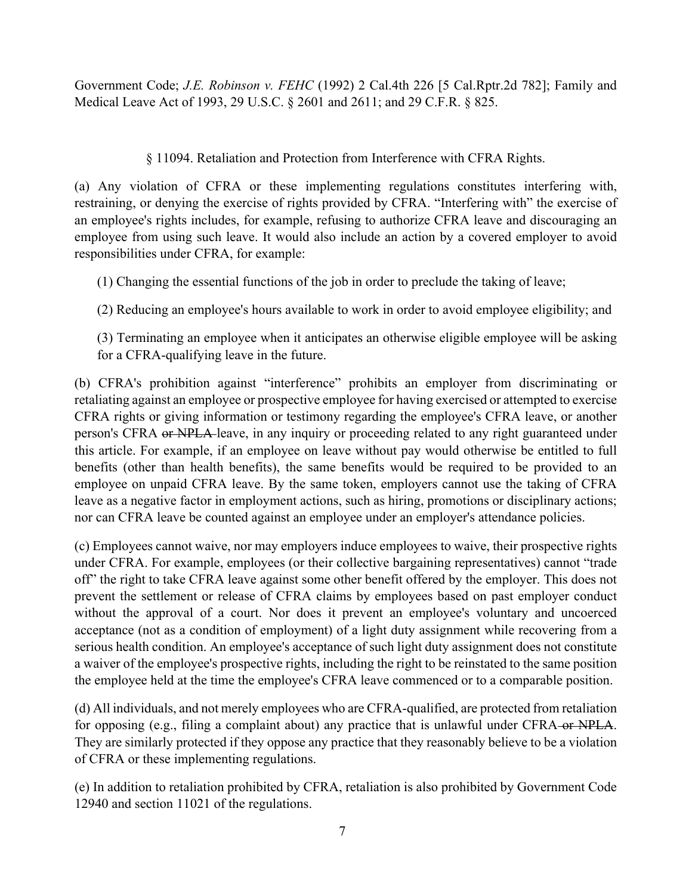Government Code; *J.E. Robinson v. FEHC* (1992) 2 Cal.4th 226 [5 Cal.Rptr.2d 782]; Family and Medical Leave Act of 1993, 29 U.S.C. § 2601 and 2611; and 29 C.F.R. § 825.

## § 11094. Retaliation and Protection from Interference with CFRA Rights.

(a) Any violation of CFRA or these implementing regulations constitutes interfering with, restraining, or denying the exercise of rights provided by CFRA. "Interfering with" the exercise of an employee's rights includes, for example, refusing to authorize CFRA leave and discouraging an employee from using such leave. It would also include an action by a covered employer to avoid responsibilities under CFRA, for example:

(1) Changing the essential functions of the job in order to preclude the taking of leave;

(2) Reducing an employee's hours available to work in order to avoid employee eligibility; and

(3) Terminating an employee when it anticipates an otherwise eligible employee will be asking for a CFRA-qualifying leave in the future.

(b) CFRA's prohibition against "interference" prohibits an employer from discriminating or retaliating against an employee or prospective employee for having exercised or attempted to exercise CFRA rights or giving information or testimony regarding the employee's CFRA leave, or another person's CFRA or NPLA leave, in any inquiry or proceeding related to any right guaranteed under this article. For example, if an employee on leave without pay would otherwise be entitled to full benefits (other than health benefits), the same benefits would be required to be provided to an employee on unpaid CFRA leave. By the same token, employers cannot use the taking of CFRA leave as a negative factor in employment actions, such as hiring, promotions or disciplinary actions; nor can CFRA leave be counted against an employee under an employer's attendance policies.

(c) Employees cannot waive, nor may employers induce employees to waive, their prospective rights under CFRA. For example, employees (or their collective bargaining representatives) cannot "trade off" the right to take CFRA leave against some other benefit offered by the employer. This does not prevent the settlement or release of CFRA claims by employees based on past employer conduct without the approval of a court. Nor does it prevent an employee's voluntary and uncoerced acceptance (not as a condition of employment) of a light duty assignment while recovering from a serious health condition. An employee's acceptance of such light duty assignment does not constitute a waiver of the employee's prospective rights, including the right to be reinstated to the same position the employee held at the time the employee's CFRA leave commenced or to a comparable position.

(d) All individuals, and not merely employees who are CFRA-qualified, are protected from retaliation for opposing (e.g., filing a complaint about) any practice that is unlawful under CFRA or NPLA. They are similarly protected if they oppose any practice that they reasonably believe to be a violation of CFRA or these implementing regulations.

(e) In addition to retaliation prohibited by CFRA, retaliation is also prohibited by Government Code 12940 and section 11021 of the regulations.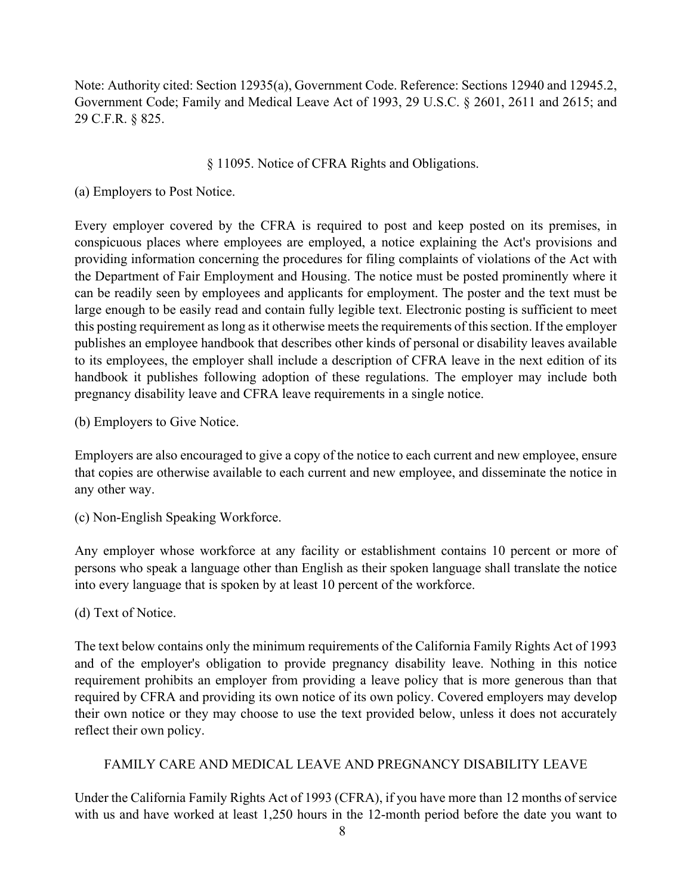Note: Authority cited: Section 12935(a), Government Code. Reference: Sections 12940 and 12945.2, Government Code; Family and Medical Leave Act of 1993, 29 U.S.C. § 2601, 2611 and 2615; and 29 C.F.R. § 825.

#### § 11095. Notice of CFRA Rights and Obligations.

#### (a) Employers to Post Notice.

Every employer covered by the CFRA is required to post and keep posted on its premises, in conspicuous places where employees are employed, a notice explaining the Act's provisions and providing information concerning the procedures for filing complaints of violations of the Act with the Department of Fair Employment and Housing. The notice must be posted prominently where it can be readily seen by employees and applicants for employment. The poster and the text must be large enough to be easily read and contain fully legible text. Electronic posting is sufficient to meet this posting requirement as long as it otherwise meets the requirements of this section. If the employer publishes an employee handbook that describes other kinds of personal or disability leaves available to its employees, the employer shall include a description of CFRA leave in the next edition of its handbook it publishes following adoption of these regulations. The employer may include both pregnancy disability leave and CFRA leave requirements in a single notice.

(b) Employers to Give Notice.

Employers are also encouraged to give a copy of the notice to each current and new employee, ensure that copies are otherwise available to each current and new employee, and disseminate the notice in any other way.

(c) Non-English Speaking Workforce.

Any employer whose workforce at any facility or establishment contains 10 percent or more of persons who speak a language other than English as their spoken language shall translate the notice into every language that is spoken by at least 10 percent of the workforce.

(d) Text of Notice.

The text below contains only the minimum requirements of the California Family Rights Act of 1993 and of the employer's obligation to provide pregnancy disability leave. Nothing in this notice requirement prohibits an employer from providing a leave policy that is more generous than that required by CFRA and providing its own notice of its own policy. Covered employers may develop their own notice or they may choose to use the text provided below, unless it does not accurately reflect their own policy.

#### FAMILY CARE AND MEDICAL LEAVE AND PREGNANCY DISABILITY LEAVE

Under the California Family Rights Act of 1993 (CFRA), if you have more than 12 months of service with us and have worked at least 1,250 hours in the 12-month period before the date you want to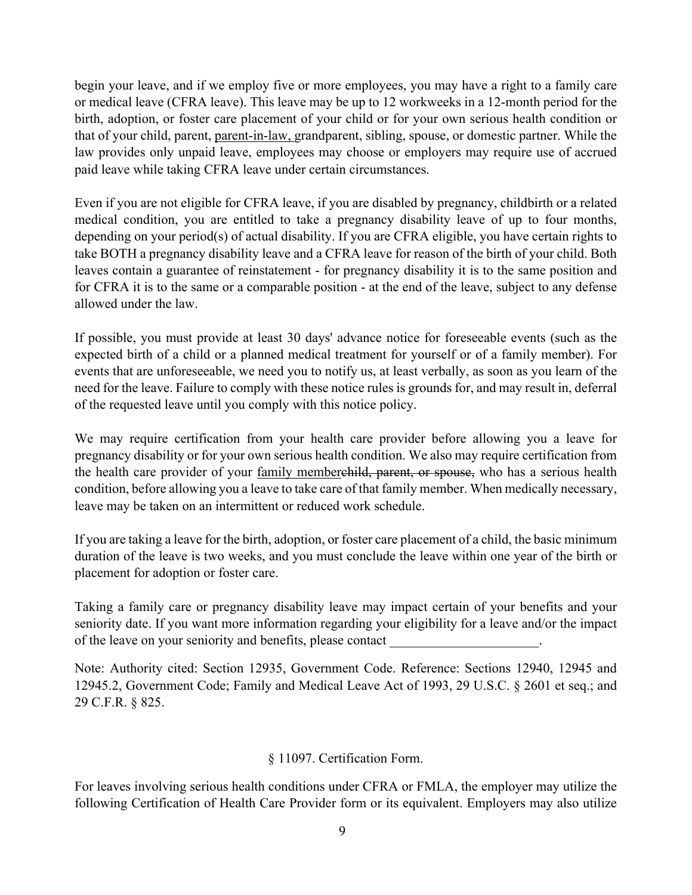begin your leave, and if we employ five or more employees, you may have a right to a family care or medical leave (CFRA leave). This leave may be up to 12 workweeks in a 12-month period for the birth, adoption, or foster care placement of your child or for your own serious health condition or that of your child, parent, parent-in-law, grandparent, sibling, spouse, or domestic partner. While the law provides only unpaid leave, employees may choose or employers may require use of accrued paid leave while taking CFRA leave under certain circumstances.

Even if you are not eligible for CFRA leave, if you are disabled by pregnancy, childbirth or a related medical condition, you are entitled to take a pregnancy disability leave of up to four months, depending on your period(s) of actual disability. If you are CFRA eligible, you have certain rights to take BOTH a pregnancy disability leave and a CFRA leave for reason of the birth of your child. Both leaves contain a guarantee of reinstatement - for pregnancy disability it is to the same position and for CFRA it is to the same or a comparable position - at the end of the leave, subject to any defense allowed under the law.

If possible, you must provide at least 30 days' advance notice for foreseeable events (such as the expected birth of a child or a planned medical treatment for yourself or of a family member). For events that are unforeseeable, we need you to notify us, at least verbally, as soon as you learn of the need for the leave. Failure to comply with these notice rules is grounds for, and may result in, deferral of the requested leave until you comply with this notice policy.

We may require certification from your health care provider before allowing you a leave for pregnancy disability or for your own serious health condition. We also may require certification from the health care provider of your family memberehild, parent, or spouse, who has a serious health condition, before allowing you a leave to take care of that family member. When medically necessary, leave may be taken on an intermittent or reduced work schedule.

If you are taking a leave for the birth, adoption, or foster care placement of a child, the basic minimum duration of the leave is two weeks, and you must conclude the leave within one year of the birth or placement for adoption or foster care.

Taking a family care or pregnancy disability leave may impact certain of your benefits and your seniority date. If you want more information regarding your eligibility for a leave and/or the impact of the leave on your seniority and benefits, please contact \_\_\_\_\_\_\_\_\_\_\_\_\_\_\_\_\_\_\_\_\_\_.

Note: Authority cited: Section 12935, Government Code. Reference: Sections 12940, 12945 and 12945.2, Government Code; Family and Medical Leave Act of 1993, 29 U.S.C. § 2601 et seq.; and 29 C.F.R. § 825.

#### § 11097. Certification Form.

For leaves involving serious health conditions under CFRA or FMLA, the employer may utilize the following Certification of Health Care Provider form or its equivalent. Employers may also utilize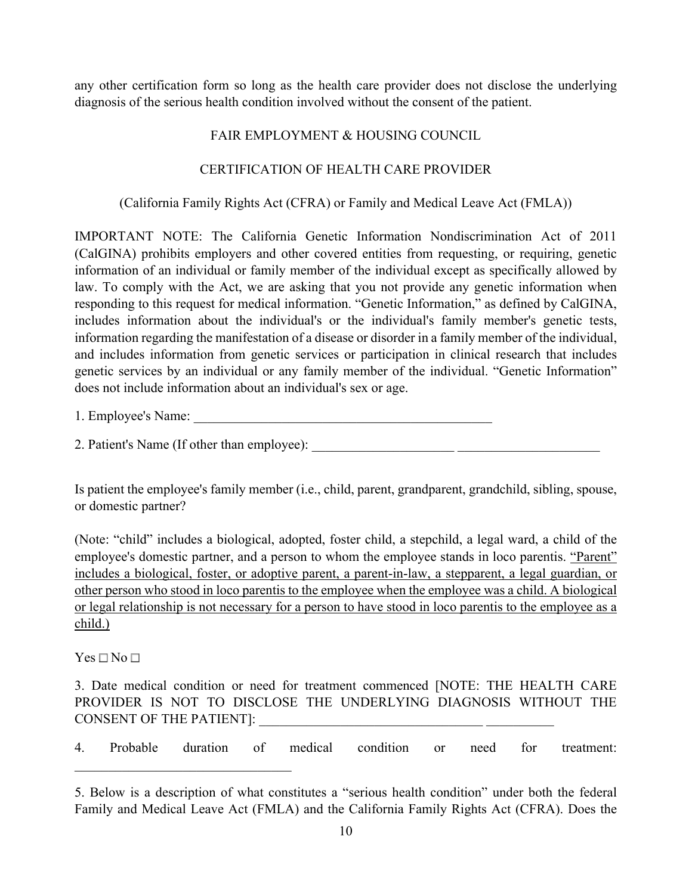any other certification form so long as the health care provider does not disclose the underlying diagnosis of the serious health condition involved without the consent of the patient.

#### FAIR EMPLOYMENT & HOUSING COUNCIL

#### CERTIFICATION OF HEALTH CARE PROVIDER

#### (California Family Rights Act (CFRA) or Family and Medical Leave Act (FMLA))

IMPORTANT NOTE: The California Genetic Information Nondiscrimination Act of 2011 (CalGINA) prohibits employers and other covered entities from requesting, or requiring, genetic information of an individual or family member of the individual except as specifically allowed by law. To comply with the Act, we are asking that you not provide any genetic information when responding to this request for medical information. "Genetic Information," as defined by CalGINA, includes information about the individual's or the individual's family member's genetic tests, information regarding the manifestation of a disease or disorder in a family member of the individual, and includes information from genetic services or participation in clinical research that includes genetic services by an individual or any family member of the individual. "Genetic Information" does not include information about an individual's sex or age.

1. Employee's Name:

2. Patient's Name (If other than employee): \_\_\_\_\_\_\_\_\_\_\_\_\_\_\_\_\_\_\_\_\_ \_\_\_\_\_\_\_\_\_\_\_\_\_\_\_\_\_\_\_\_\_

Is patient the employee's family member (i.e., child, parent, grandparent, grandchild, sibling, spouse, or domestic partner?

(Note: "child" includes a biological, adopted, foster child, a stepchild, a legal ward, a child of the employee's domestic partner, and a person to whom the employee stands in loco parentis. "Parent" includes a biological, foster, or adoptive parent, a parent-in-law, a stepparent, a legal guardian, or other person who stood in loco parentis to the employee when the employee was a child. A biological or legal relationship is not necessary for a person to have stood in loco parentis to the employee as a child.)

 $Yes \Box No \Box$ 

3. Date medical condition or need for treatment commenced [NOTE: THE HEALTH CARE PROVIDER IS NOT TO DISCLOSE THE UNDERLYING DIAGNOSIS WITHOUT THE CONSENT OF THE PATIENT]:

4. Probable duration of medical condition or need for treatment:

<sup>5.</sup> Below is a description of what constitutes a "serious health condition" under both the federal Family and Medical Leave Act (FMLA) and the California Family Rights Act (CFRA). Does the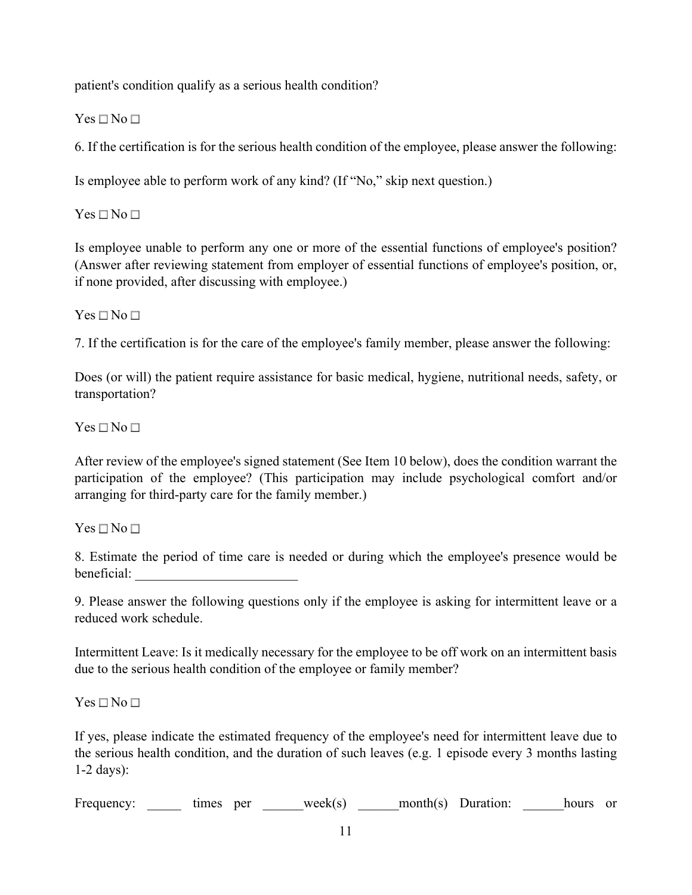patient's condition qualify as a serious health condition?

 $Yes \Box No \Box$ 

6. If the certification is for the serious health condition of the employee, please answer the following:

Is employee able to perform work of any kind? (If "No," skip next question.)

 $Yes \Box No \Box$ 

Is employee unable to perform any one or more of the essential functions of employee's position? (Answer after reviewing statement from employer of essential functions of employee's position, or, if none provided, after discussing with employee.)

 $Yes \Box No \Box$ 

7. If the certification is for the care of the employee's family member, please answer the following:

Does (or will) the patient require assistance for basic medical, hygiene, nutritional needs, safety, or transportation?

 $Yes \Box No \Box$ 

After review of the employee's signed statement (See Item 10 below), does the condition warrant the participation of the employee? (This participation may include psychological comfort and/or arranging for third-party care for the family member.)

 $Yes \Box No \Box$ 

8. Estimate the period of time care is needed or during which the employee's presence would be beneficial: \_\_\_\_\_\_\_\_\_\_\_\_\_\_\_\_\_\_\_\_\_\_\_\_

9. Please answer the following questions only if the employee is asking for intermittent leave or a reduced work schedule.

Intermittent Leave: Is it medically necessary for the employee to be off work on an intermittent basis due to the serious health condition of the employee or family member?

 $Yes \Box No \Box$ 

If yes, please indicate the estimated frequency of the employee's need for intermittent leave due to the serious health condition, and the duration of such leaves (e.g. 1 episode every 3 months lasting 1-2 days):

Frequency:  $times$  times per  $week(s)$  month(s) Duration:  $hours$  hours or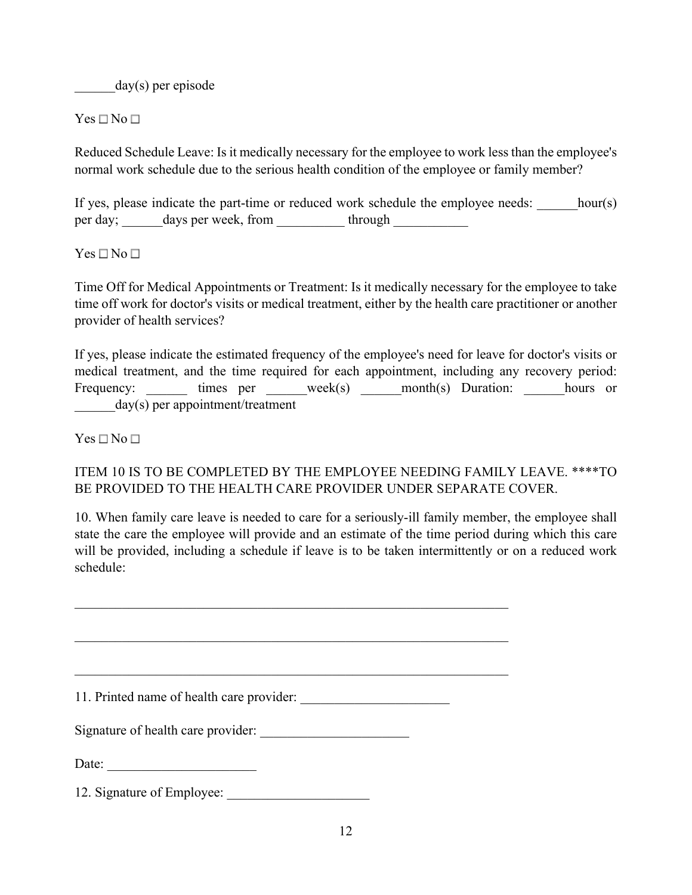$\text{day}(s)$  per episode

 $Yes \Box No \Box$ 

Reduced Schedule Leave: Is it medically necessary for the employee to work less than the employee's normal work schedule due to the serious health condition of the employee or family member?

If yes, please indicate the part-time or reduced work schedule the employee needs: hour(s) per day; days per week, from through  $\frac{1}{2}$ 

#### $Yes \Box No \Box$

Time Off for Medical Appointments or Treatment: Is it medically necessary for the employee to take time off work for doctor's visits or medical treatment, either by the health care practitioner or another provider of health services?

If yes, please indicate the estimated frequency of the employee's need for leave for doctor's visits or medical treatment, and the time required for each appointment, including any recovery period: Frequency: times per week(s) month(s) Duration: hours or  $day(s)$  per appointment/treatment

 $Yes \Box No \Box$ 

### ITEM 10 IS TO BE COMPLETED BY THE EMPLOYEE NEEDING FAMILY LEAVE. \*\*\*\*TO BE PROVIDED TO THE HEALTH CARE PROVIDER UNDER SEPARATE COVER.

10. When family care leave is needed to care for a seriously-ill family member, the employee shall state the care the employee will provide and an estimate of the time period during which this care will be provided, including a schedule if leave is to be taken intermittently or on a reduced work schedule:

11. Printed name of health care provider:

Signature of health care provider:

Date:

12. Signature of Employee: \_\_\_\_\_\_\_\_\_\_\_\_\_\_\_\_\_\_\_\_\_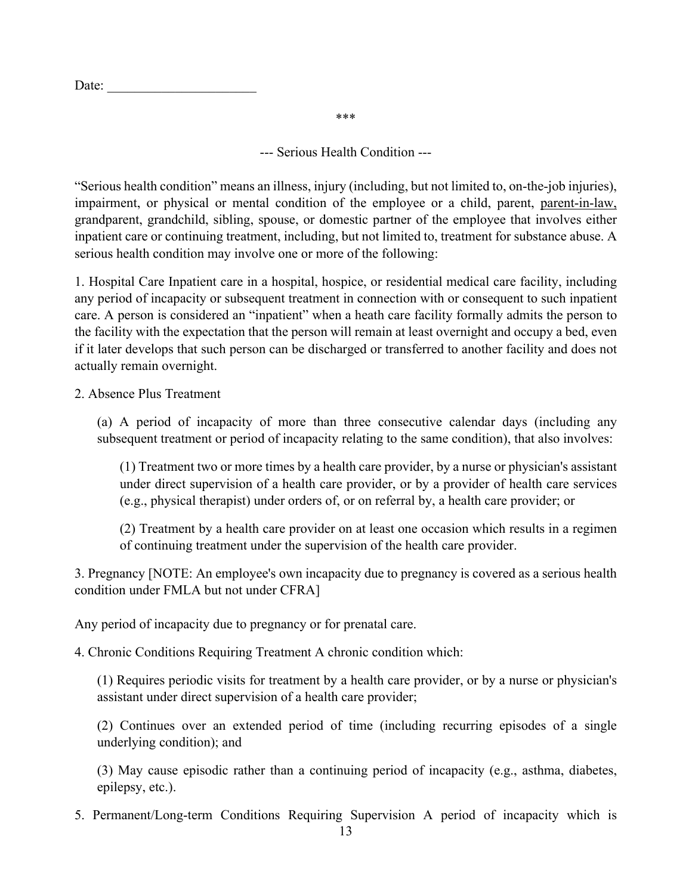\*\*\*

--- Serious Health Condition ---

"Serious health condition" means an illness, injury (including, but not limited to, on-the-job injuries), impairment, or physical or mental condition of the employee or a child, parent, parent-in-law, grandparent, grandchild, sibling, spouse, or domestic partner of the employee that involves either inpatient care or continuing treatment, including, but not limited to, treatment for substance abuse. A serious health condition may involve one or more of the following:

1. Hospital Care Inpatient care in a hospital, hospice, or residential medical care facility, including any period of incapacity or subsequent treatment in connection with or consequent to such inpatient care. A person is considered an "inpatient" when a heath care facility formally admits the person to the facility with the expectation that the person will remain at least overnight and occupy a bed, even if it later develops that such person can be discharged or transferred to another facility and does not actually remain overnight.

2. Absence Plus Treatment

(a) A period of incapacity of more than three consecutive calendar days (including any subsequent treatment or period of incapacity relating to the same condition), that also involves:

(1) Treatment two or more times by a health care provider, by a nurse or physician's assistant under direct supervision of a health care provider, or by a provider of health care services (e.g., physical therapist) under orders of, or on referral by, a health care provider; or

(2) Treatment by a health care provider on at least one occasion which results in a regimen of continuing treatment under the supervision of the health care provider.

3. Pregnancy [NOTE: An employee's own incapacity due to pregnancy is covered as a serious health condition under FMLA but not under CFRA]

Any period of incapacity due to pregnancy or for prenatal care.

4. Chronic Conditions Requiring Treatment A chronic condition which:

(1) Requires periodic visits for treatment by a health care provider, or by a nurse or physician's assistant under direct supervision of a health care provider;

(2) Continues over an extended period of time (including recurring episodes of a single underlying condition); and

(3) May cause episodic rather than a continuing period of incapacity (e.g., asthma, diabetes, epilepsy, etc.).

5. Permanent/Long-term Conditions Requiring Supervision A period of incapacity which is